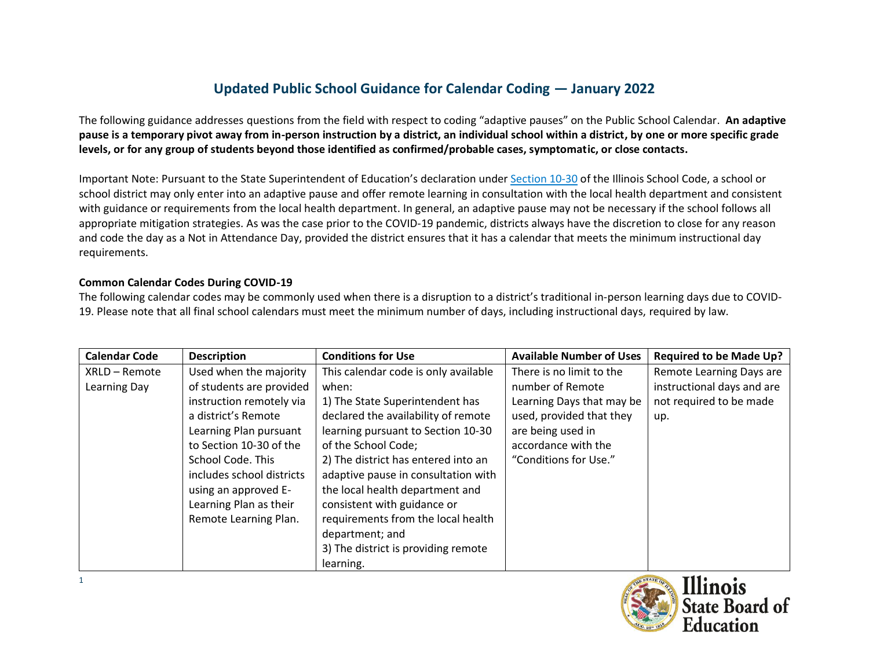## **Updated Public School Guidance for Calendar Coding — January 2022**

The following guidance addresses questions from the field with respect to coding "adaptive pauses" on the Public School Calendar. **An adaptive pause is a temporary pivot away from in-person instruction by a district, an individual school within a district, by one or more specific grade levels, or for any group of students beyond those identified as confirmed/probable cases, symptomatic, or close contacts.**

Important Note: Pursuant to the State Superintendent of Education's declaration under [Section 10-30](https://www.ilga.gov/legislation/ilcs/fulltext.asp?DocName=010500050K10-30) of the Illinois School Code, a school or school district may only enter into an adaptive pause and offer remote learning in consultation with the local health department and consistent with guidance or requirements from the local health department. In general, an adaptive pause may not be necessary if the school follows all appropriate mitigation strategies. As was the case prior to the COVID-19 pandemic, districts always have the discretion to close for any reason and code the day as a Not in Attendance Day, provided the district ensures that it has a calendar that meets the minimum instructional day requirements.

## **Common Calendar Codes During COVID-19**

The following calendar codes may be commonly used when there is a disruption to a district's traditional in-person learning days due to COVID-19. Please note that all final school calendars must meet the minimum number of days, including instructional days, required by law.

| <b>Calendar Code</b> | <b>Description</b>        | <b>Conditions for Use</b>            | <b>Available Number of Uses</b> | <b>Required to be Made Up?</b> |
|----------------------|---------------------------|--------------------------------------|---------------------------------|--------------------------------|
| XRLD - Remote        | Used when the majority    | This calendar code is only available | There is no limit to the        | Remote Learning Days are       |
| Learning Day         | of students are provided  | when:                                | number of Remote                | instructional days and are     |
|                      | instruction remotely via  | 1) The State Superintendent has      | Learning Days that may be       | not required to be made        |
|                      | a district's Remote       | declared the availability of remote  | used, provided that they        | up.                            |
|                      | Learning Plan pursuant    | learning pursuant to Section 10-30   | are being used in               |                                |
|                      | to Section 10-30 of the   | of the School Code;                  | accordance with the             |                                |
|                      | School Code. This         | 2) The district has entered into an  | "Conditions for Use."           |                                |
|                      | includes school districts | adaptive pause in consultation with  |                                 |                                |
|                      | using an approved E-      | the local health department and      |                                 |                                |
|                      | Learning Plan as their    | consistent with guidance or          |                                 |                                |
|                      | Remote Learning Plan.     | requirements from the local health   |                                 |                                |
|                      |                           | department; and                      |                                 |                                |
|                      |                           | 3) The district is providing remote  |                                 |                                |
|                      |                           | learning.                            |                                 |                                |

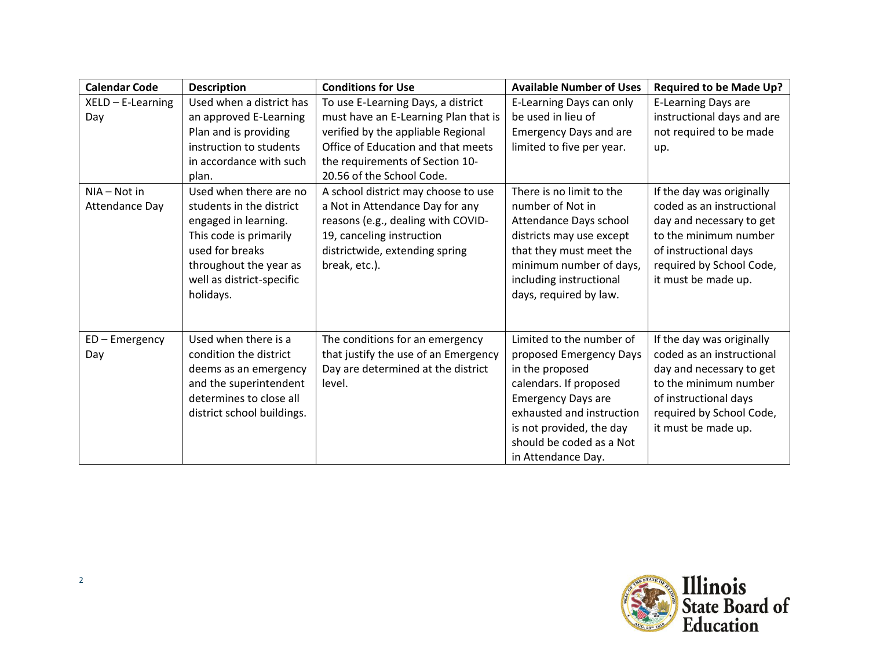| <b>Calendar Code</b>           | <b>Description</b>                                                                                                                                                                          | <b>Conditions for Use</b>                                                                                                                                                                    | <b>Available Number of Uses</b>                                                                                                                                                                                                          | <b>Required to be Made Up?</b>                                                                                                                                                          |
|--------------------------------|---------------------------------------------------------------------------------------------------------------------------------------------------------------------------------------------|----------------------------------------------------------------------------------------------------------------------------------------------------------------------------------------------|------------------------------------------------------------------------------------------------------------------------------------------------------------------------------------------------------------------------------------------|-----------------------------------------------------------------------------------------------------------------------------------------------------------------------------------------|
| $XELD - E-Learning$            | Used when a district has                                                                                                                                                                    | To use E-Learning Days, a district                                                                                                                                                           | E-Learning Days can only                                                                                                                                                                                                                 | E-Learning Days are                                                                                                                                                                     |
| Day                            | an approved E-Learning                                                                                                                                                                      | must have an E-Learning Plan that is                                                                                                                                                         | be used in lieu of                                                                                                                                                                                                                       | instructional days and are                                                                                                                                                              |
|                                | Plan and is providing                                                                                                                                                                       | verified by the appliable Regional                                                                                                                                                           | <b>Emergency Days and are</b>                                                                                                                                                                                                            | not required to be made                                                                                                                                                                 |
|                                | instruction to students                                                                                                                                                                     | Office of Education and that meets                                                                                                                                                           | limited to five per year.                                                                                                                                                                                                                | up.                                                                                                                                                                                     |
|                                | in accordance with such                                                                                                                                                                     | the requirements of Section 10-                                                                                                                                                              |                                                                                                                                                                                                                                          |                                                                                                                                                                                         |
|                                | plan.                                                                                                                                                                                       | 20.56 of the School Code.                                                                                                                                                                    |                                                                                                                                                                                                                                          |                                                                                                                                                                                         |
| NIA - Not in<br>Attendance Day | Used when there are no<br>students in the district<br>engaged in learning.<br>This code is primarily<br>used for breaks<br>throughout the year as<br>well as district-specific<br>holidays. | A school district may choose to use<br>a Not in Attendance Day for any<br>reasons (e.g., dealing with COVID-<br>19, canceling instruction<br>districtwide, extending spring<br>break, etc.). | There is no limit to the<br>number of Not in<br>Attendance Days school<br>districts may use except<br>that they must meet the<br>minimum number of days,<br>including instructional<br>days, required by law.                            | If the day was originally<br>coded as an instructional<br>day and necessary to get<br>to the minimum number<br>of instructional days<br>required by School Code,<br>it must be made up. |
| ED-Emergency<br>Day            | Used when there is a<br>condition the district<br>deems as an emergency<br>and the superintendent<br>determines to close all<br>district school buildings.                                  | The conditions for an emergency<br>that justify the use of an Emergency<br>Day are determined at the district<br>level.                                                                      | Limited to the number of<br>proposed Emergency Days<br>in the proposed<br>calendars. If proposed<br><b>Emergency Days are</b><br>exhausted and instruction<br>is not provided, the day<br>should be coded as a Not<br>in Attendance Day. | If the day was originally<br>coded as an instructional<br>day and necessary to get<br>to the minimum number<br>of instructional days<br>required by School Code,<br>it must be made up. |